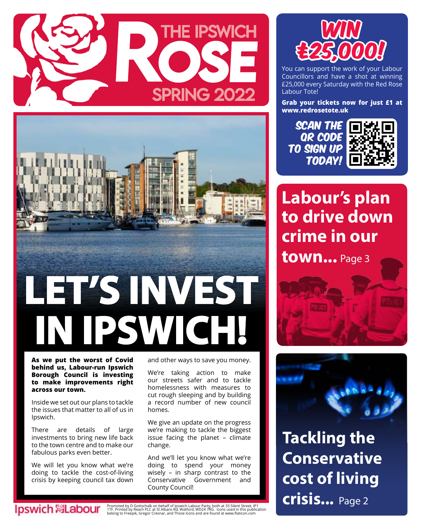



**As we put the worst of Covid behind us, Labour-run Ipswich Borough Council is investing to make improvements right across our town.**

Inside we set out our plans to tackle the issues that matter to all of us in Ipswich.

There are details of large investments to bring new life back to the town centre and to make our fabulous parks even better.

We will let you know what we're doing to tackle the cost-of-living crisis by keeping council tax down

lpswich **&Labour** 

and other ways to save you money.

We're taking action to make our streets safer and to tackle homelessness with measures to cut rough sleeping and by building a record number of new council homes.

We give an update on the progress we're making to tackle the biggest issue facing the planet – climate change.

And we'll let you know what we're doing to spend your money wisely – in sharp contrast to the Conservative Government and County Council!



You can support the work of your Labour Councillors and have a shot at winning £25,000 every Saturday with the Red Rose Labour Tote!

**Grab your tickets now for just £1 at www.redrosetote.uk** 

SCAN THE QR CODE to sign up today!



### **Labour's plan to drive down crime in our**

**town...** Page 3





**Tackling the Conservative cost of living crisis...** Page 2

Promoted by D Gottschalk on behalf of Ipswich Labour Party, both at 33 Silent Street, IP1<br>1TF. Printed by Reach PLC at St Albans Rd, Watford, WD24 7RG. lcons used in this publication<br>belong to Freepik, Gregor Cresnar, and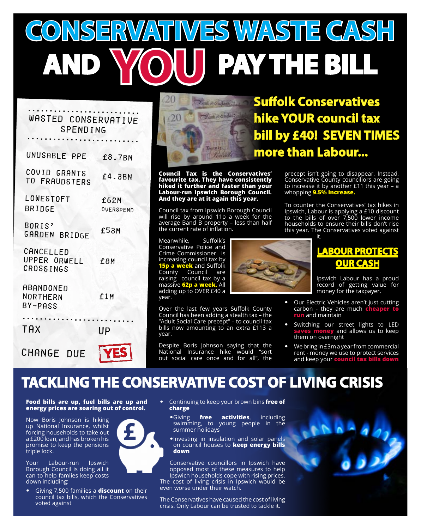# **CONSERVATIVES WASTE CASH PAY THE BILL**

#### .......................... Wasted COnservative **SPENDING**

| UNUSABLE PPE                           | £8.7BN                   |
|----------------------------------------|--------------------------|
| COVID GRANTS<br>TO FRAUDSTERS          | £4.3BN                   |
| LOWESTOFT<br><b>BRIDGE</b>             | £62M<br><b>OVERSPEND</b> |
| BORIS'<br>GARDEN BRIDGE                | £53M                     |
| CANCELLED<br>UPPER ORWELL<br>CROSSINGS | £8M                      |
| ABANDONED<br>NORTHERN<br>BY-PASS       | £1M                      |
| TAX                                    | UP                       |
| CHANGE DUE                             | <b>YES</b>               |



**Council Tax is the Conservatives' favourite tax. They have consistently hiked it further and faster than your Labour-run Ipswich Borough Council. And they are at it again this year.**

Council tax from Ipswich Borough Council will rise by around 11p a week for the average Band B property – less than half the current rate of inflation.

Meanwhile, Suffolk's Conservative Police and Crime Commissioner is increasing council tax by **15p a week** and Suffolk County Council are raising council tax by a massive **62p a week.** All adding up to OVER £40 a year.

Over the last few years Suffolk County Council has been adding a stealth tax – the "Adult Social Care precept" – to council tax bills now amounting to an extra £113 a year.

Despite Boris Johnson saying that the National Insurance hike would "sort out social care once and for all", the

**Suffolk Conservatives hike YOUR council tax bill by £40! SEVEN TIMES more than Labour...**

> precept isn't going to disappear. Instead, Conservative County councillors are going to increase it by another £11 this year – a whopping **9.5% increase.**

> To counter the Conservatives' tax hikes in Ipswich, Labour is applying a £10 discount to the bills of over 7,500 lower income households to ensure their bills don't rise this year. The Conservatives voted against it.

#### **LABOUR PROTECTS OUR CASH**

Ipswich Labour has a proud record of getting value for money for the taxpayer.

- **•** Our Electric Vehicles aren't just cutting carbon - they are much **cheaper t run** and maintain
- **•** Switching our street lights to LED **saves money** and allows us to keep them on overnight
- **•** We bring in £3m a year from commercial rent - money we use to protect services and keep your **council tax bills down**

### **TACKLING THE CONSERVATIVE COST OF LIVING CRISIS**

**Food bills are up, fuel bills are up and energy prices are soaring out of control.** 

Now Boris Johnson is hiking up National Insurance, whilst forcing households to take out a £200 loan, and has broken his promise to keep the pensions triple lock.

Your Labour-run Ipswich Borough Council is doing all it can to help famlies keep costs down including:

**•** Giving 7,500 families a **discount** on their council tax bills, which the Conservatives voted against

- **•** Continuing to keep your brown bins **free of charge**
	- **•**Giving **free activities**, including swimming, to young people in the summer holidays
	- **•**Investing in insulation and solar panels on council houses to **keep energy bills down**

Conservative councillors in Ipswich have opposed most of these measures to help Ipswich households cope with rising prices. The cost of living crisis in Ipswich would be

even worse under their watch.

The Conservatives have caused the cost of living crisis. Only Labour can be trusted to tackle it.

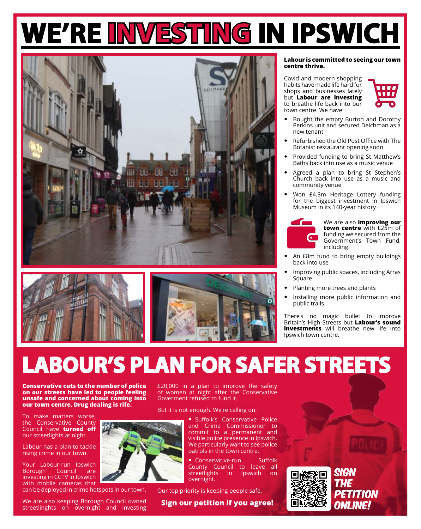## **WE'RE INVESTING IN IPSWICH**





#### **Labour is committed to seeing our town centre thrive.**

Covid and modern shopping habits have made life hard for shops and businesses lately but **Labour are investing** to breathe life back into our town centre. We have:



- **•** Bought the empty Burton and Dorothy Perkins unit and secured Deichman as a new tenant
- **•** Refurbished the Old Post Office with The Botanist restaurant opening soon
- **•** Provided funding to bring St Matthew's Baths back into use as a music venue
- **•** Agreed a plan to bring St Stephen's Church back into use as a music and community venue
- **•** Won £4.3m Heritage Lottery funding for the biggest investment in Ipswich Museum in its 140-year history



We are also **improving our town centre** with £25m of funding we secured from the Government's Town Fund, including:

- **•** An £8m fund to bring empty buildings back into use
- **•** Improving public spaces, including Arras Square
- **•** Planting more trees and plants
- **•** Installing more public information and public trails

There's no magic bullet to improve Britain's High Streets but **Labour's sound investments** will breathe new life into Ipswich town centre.

## **LABOUR'S PLAN FOR SAFER STREETS**

**Conservative cuts to the number of police on our streets have led to people feeling unsafe and concerned about coming into our town centre. Drug dealing is rife.**

To make matters worse, the Conservative County Council have **turned off** our streetlights at night.

Labour has a plan to tackle rising crime in our town.

Your Labour-run Ipswich Borough Council are investing in CCTV in Ipswich with mobile cameras that

can be deployed in crime hotspots in our town.

We are also keeping Borough Council owned streetlinghts on overnight and investing £20,000 in a plan to improve the safety of women at night after the Conservative Goverment refused to fund it.

But it is not enough. We're calling on:



**•** Suffolk's Conservative Police and Crime Commissioner to commit to a permanent and visible police presence in Ipswich. We particularly want to see police patrols in the town centre.

**•** Conservative-run Suffolk County Council to leave all streetlights in Ipswich on overnight.

Our top priority is keeping people safe.

**Sign our petition if you agree!**